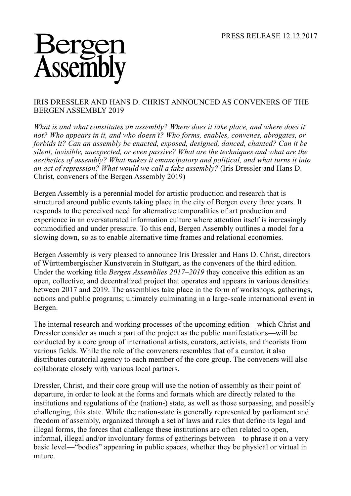## Asseml

## IRIS DRESSLER AND HANS D. CHRIST ANNOUNCED AS CONVENERS OF THE BERGEN ASSEMBLY 2019

*What is and what constitutes an assembly? Where does it take place, and where does it not? Who appears in it, and who doesn't? Who forms, enables, convenes, abrogates, or forbids it? Can an assembly be enacted, exposed, designed, danced, chanted? Can it be silent, invisible, unexpected, or even passive? What are the techniques and what are the aesthetics of assembly? What makes it emancipatory and political, and what turns it into an act of repression? What would we call a fake assembly?* (Iris Dressler and Hans D. Christ, conveners of the Bergen Assembly 2019)

Bergen Assembly is a perennial model for artistic production and research that is structured around public events taking place in the city of Bergen every three years. It responds to the perceived need for alternative temporalities of art production and experience in an oversaturated information culture where attention itself is increasingly commodified and under pressure. To this end, Bergen Assembly outlines a model for a slowing down, so as to enable alternative time frames and relational economies.

Bergen Assembly is very pleased to announce Iris Dressler and Hans D. Christ, directors of Württembergischer Kunstverein in Stuttgart, as the conveners of the third edition. Under the working title *Bergen Assemblies 2017–2019* they conceive this edition as an open, collective, and decentralized project that operates and appears in various densities between 2017 and 2019. The assemblies take place in the form of workshops, gatherings, actions and public programs; ultimately culminating in a large-scale international event in Bergen.

The internal research and working processes of the upcoming edition—which Christ and Dressler consider as much a part of the project as the public manifestations—will be conducted by a core group of international artists, curators, activists, and theorists from various fields. While the role of the conveners resembles that of a curator, it also distributes curatorial agency to each member of the core group. The conveners will also collaborate closely with various local partners.

Dressler, Christ, and their core group will use the notion of assembly as their point of departure, in order to look at the forms and formats which are directly related to the institutions and regulations of the (nation-) state, as well as those surpassing, and possibly challenging, this state. While the nation-state is generally represented by parliament and freedom of assembly, organized through a set of laws and rules that define its legal and illegal forms, the forces that challenge these institutions are often related to open, informal, illegal and/or involuntary forms of gatherings between—to phrase it on a very basic level—"bodies" appearing in public spaces, whether they be physical or virtual in nature.